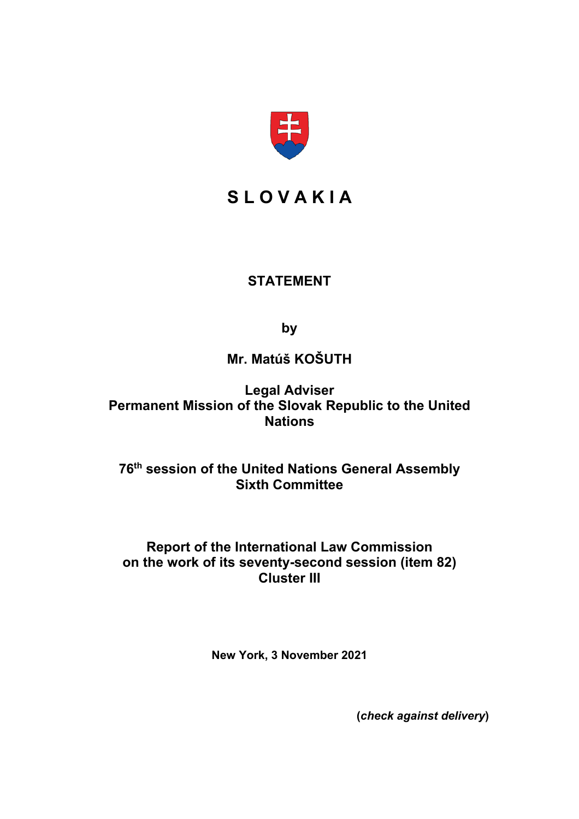

# **S L O V A K I A**

## **STATEMENT**

**by**

# **Mr. Matúš KOŠUTH**

**Legal Adviser Permanent Mission of the Slovak Republic to the United Nations**

### **76th session of the United Nations General Assembly Sixth Committee**

### **Report of the International Law Commission on the work of its seventy-second session (item 82) Cluster III**

**New York, 3 November 2021**

**(***check against delivery***)**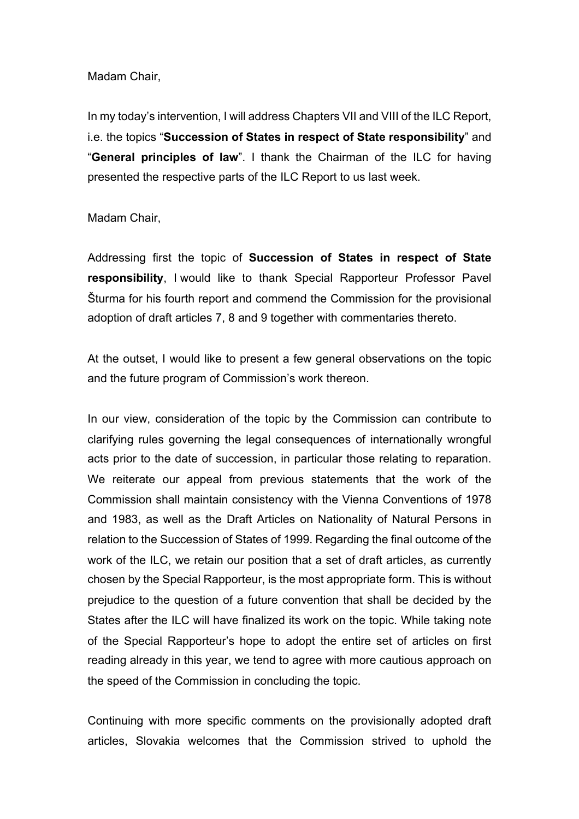### Madam Chair,

In my today's intervention, I will address Chapters VII and VIII of the ILC Report, i.e. the topics "**Succession of States in respect of State responsibility**" and "**General principles of law**". I thank the Chairman of the ILC for having presented the respective parts of the ILC Report to us last week.

### Madam Chair,

Addressing first the topic of **Succession of States in respect of State responsibility**, I would like to thank Special Rapporteur Professor Pavel Šturma for his fourth report and commend the Commission for the provisional adoption of draft articles 7, 8 and 9 together with commentaries thereto.

At the outset, I would like to present a few general observations on the topic and the future program of Commission's work thereon.

In our view, consideration of the topic by the Commission can contribute to clarifying rules governing the legal consequences of internationally wrongful acts prior to the date of succession, in particular those relating to reparation. We reiterate our appeal from previous statements that the work of the Commission shall maintain consistency with the Vienna Conventions of 1978 and 1983, as well as the Draft Articles on Nationality of Natural Persons in relation to the Succession of States of 1999. Regarding the final outcome of the work of the ILC, we retain our position that a set of draft articles, as currently chosen by the Special Rapporteur, is the most appropriate form. This is without prejudice to the question of a future convention that shall be decided by the States after the ILC will have finalized its work on the topic. While taking note of the Special Rapporteur's hope to adopt the entire set of articles on first reading already in this year, we tend to agree with more cautious approach on the speed of the Commission in concluding the topic.

Continuing with more specific comments on the provisionally adopted draft articles, Slovakia welcomes that the Commission strived to uphold the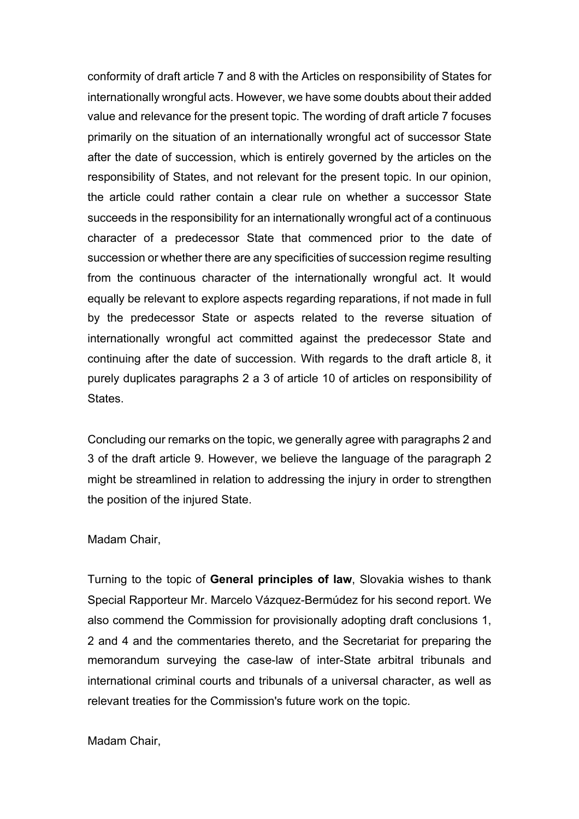conformity of draft article 7 and 8 with the Articles on responsibility of States for internationally wrongful acts. However, we have some doubts about their added value and relevance for the present topic. The wording of draft article 7 focuses primarily on the situation of an internationally wrongful act of successor State after the date of succession, which is entirely governed by the articles on the responsibility of States, and not relevant for the present topic. In our opinion, the article could rather contain a clear rule on whether a successor State succeeds in the responsibility for an internationally wrongful act of a continuous character of a predecessor State that commenced prior to the date of succession or whether there are any specificities of succession regime resulting from the continuous character of the internationally wrongful act. It would equally be relevant to explore aspects regarding reparations, if not made in full by the predecessor State or aspects related to the reverse situation of internationally wrongful act committed against the predecessor State and continuing after the date of succession. With regards to the draft article 8, it purely duplicates paragraphs 2 a 3 of article 10 of articles on responsibility of States.

Concluding our remarks on the topic, we generally agree with paragraphs 2 and 3 of the draft article 9. However, we believe the language of the paragraph 2 might be streamlined in relation to addressing the injury in order to strengthen the position of the injured State.

#### Madam Chair,

Turning to the topic of **General principles of law**, Slovakia wishes to thank Special Rapporteur Mr. Marcelo Vázquez-Bermúdez for his second report. We also commend the Commission for provisionally adopting draft conclusions 1, 2 and 4 and the commentaries thereto, and the Secretariat for preparing the memorandum surveying the case-law of inter-State arbitral tribunals and international criminal courts and tribunals of a universal character, as well as relevant treaties for the Commission's future work on the topic.

### Madam Chair,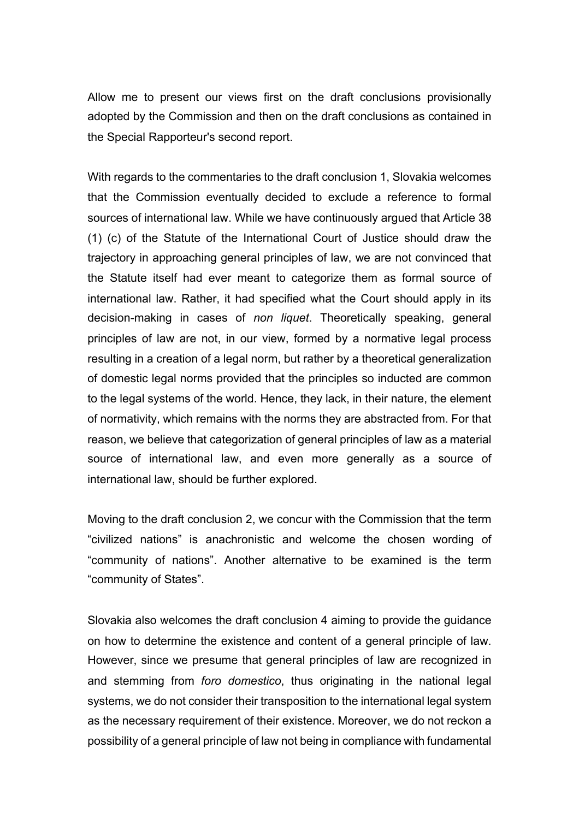Allow me to present our views first on the draft conclusions provisionally adopted by the Commission and then on the draft conclusions as contained in the Special Rapporteur's second report.

With regards to the commentaries to the draft conclusion 1, Slovakia welcomes that the Commission eventually decided to exclude a reference to formal sources of international law. While we have continuously argued that Article 38 (1) (c) of the Statute of the International Court of Justice should draw the trajectory in approaching general principles of law, we are not convinced that the Statute itself had ever meant to categorize them as formal source of international law. Rather, it had specified what the Court should apply in its decision-making in cases of *non liquet*. Theoretically speaking, general principles of law are not, in our view, formed by a normative legal process resulting in a creation of a legal norm, but rather by a theoretical generalization of domestic legal norms provided that the principles so inducted are common to the legal systems of the world. Hence, they lack, in their nature, the element of normativity, which remains with the norms they are abstracted from. For that reason, we believe that categorization of general principles of law as a material source of international law, and even more generally as a source of international law, should be further explored.

Moving to the draft conclusion 2, we concur with the Commission that the term "civilized nations" is anachronistic and welcome the chosen wording of "community of nations". Another alternative to be examined is the term "community of States".

Slovakia also welcomes the draft conclusion 4 aiming to provide the guidance on how to determine the existence and content of a general principle of law. However, since we presume that general principles of law are recognized in and stemming from *foro domestico*, thus originating in the national legal systems, we do not consider their transposition to the international legal system as the necessary requirement of their existence. Moreover, we do not reckon a possibility of a general principle of law not being in compliance with fundamental